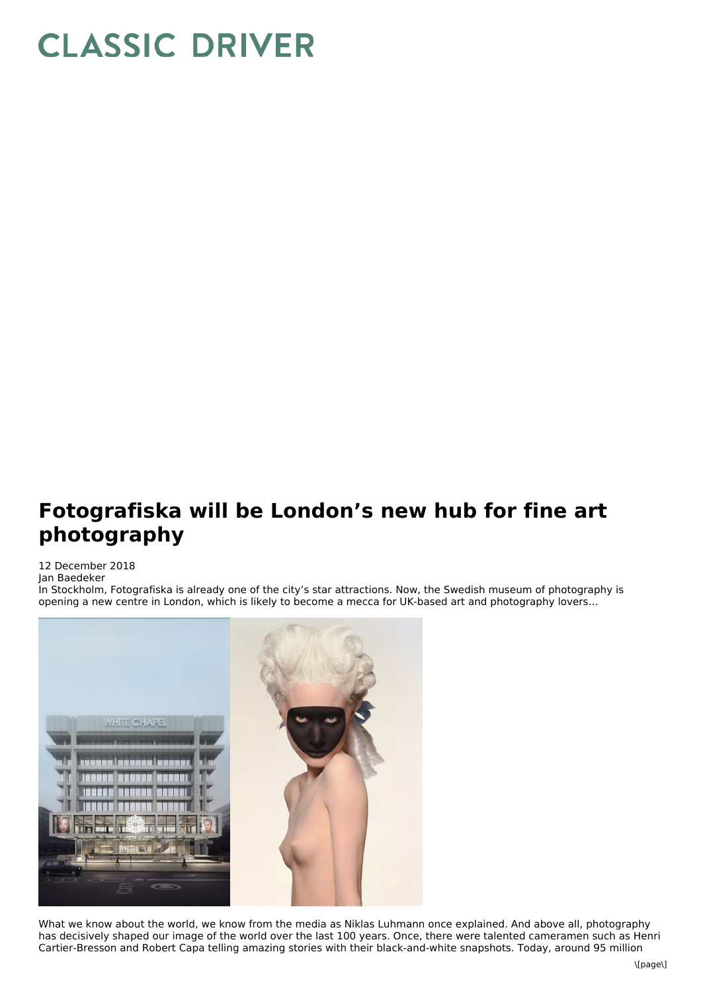## **CLASSIC DRIVER**

## **Fotografiska will be London's new hub for fine art photography**

## 12 December 2018 Jan Baedeker

In Stockholm, Fotografiska is already one of the city's star attractions. Now, the Swedish museum of photography is opening a new centre in London, which is likely to become a mecca for UK-based art and photography lovers…



What we know about the world, we know from the media as Niklas Luhmann once explained. And above all, photography has decisively shaped our image of the world over the last 100 years. Once, there were talented cameramen such as Henri Cartier-Bresson and Robert Capa telling amazing stories with their black-and-white snapshots. Today, around 95 million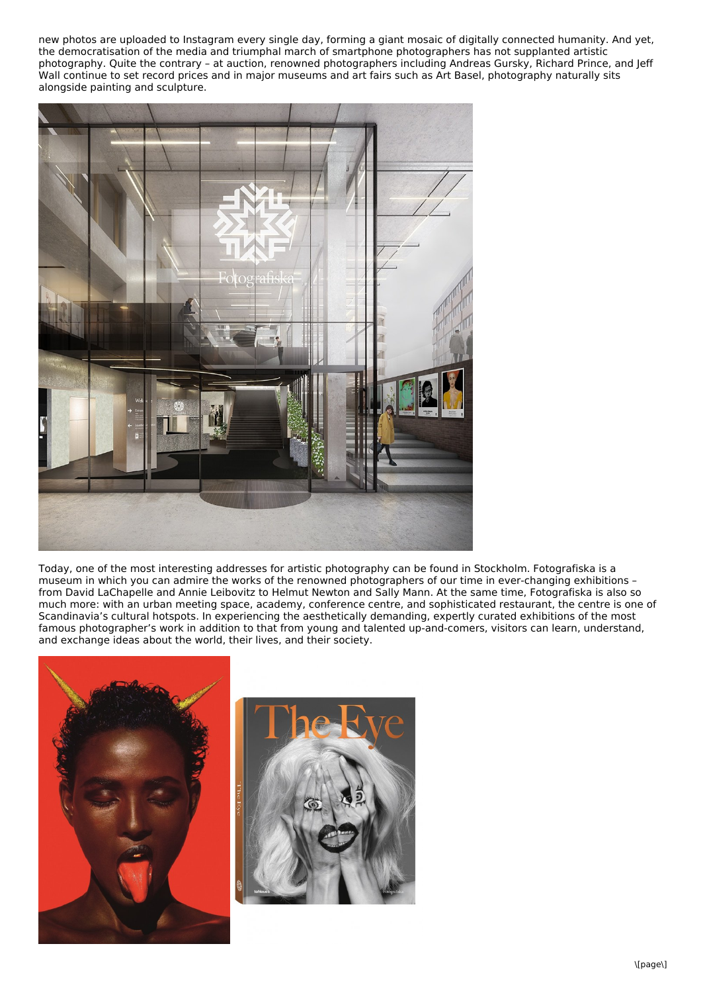new photos are uploaded to Instagram every single day, forming a giant mosaic of digitally connected humanity. And yet, the democratisation of the media and triumphal march of smartphone photographers has not supplanted artistic photography. Quite the contrary – at auction, renowned photographers including Andreas Gursky, Richard Prince, and Jeff Wall continue to set record prices and in major museums and art fairs such as Art Basel, photography naturally sits alongside painting and sculpture.



Today, one of the most interesting addresses for artistic photography can be found in Stockholm. Fotografiska is a museum in which you can admire the works of the renowned photographers of our time in ever-changing exhibitions – from David LaChapelle and Annie Leibovitz to Helmut Newton and Sally Mann. At the same time, Fotografiska is also so much more: with an urban meeting space, academy, conference centre, and sophisticated restaurant, the centre is one of Scandinavia's cultural hotspots. In experiencing the aesthetically demanding, expertly curated exhibitions of the most famous photographer's work in addition to that from young and talented up-and-comers, visitors can learn, understand, and exchange ideas about the world, their lives, and their society.